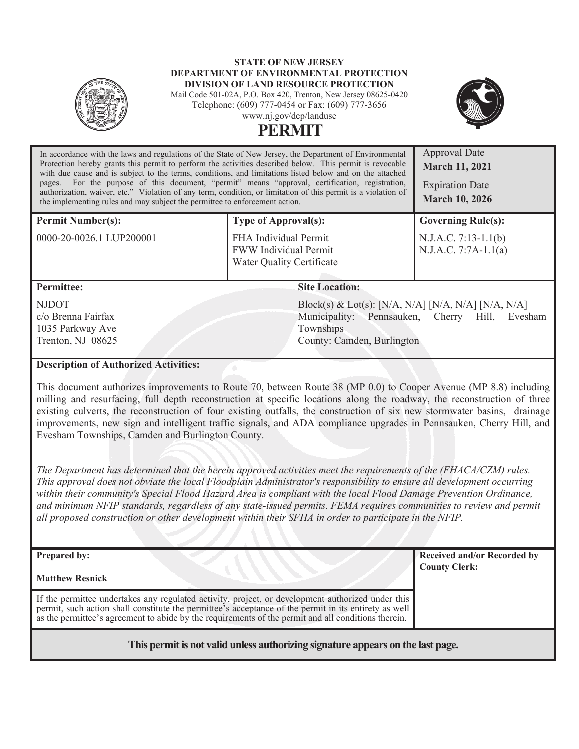#### **STATE OF NEW JERSEY DEPARTMENT OF ENVIRONMENTAL PROTECTION DIVISION OF LAND RESOURCE PROTECTION**

Mail Code 501-02A, P.O. Box 420, Trenton, New Jersey 08625-0420 Telephone: (609) 777-0454 or Fax: (609) 777-3656 www.nj.gov/dep/landuse



 $A$ *p* 

# **PERMIT**

| In accordance with the laws and regulations of the State of New Jersey, the Department of Environmental<br>Protection hereby grants this permit to perform the activities described below. This permit is revocable<br>with due cause and is subject to the terms, conditions, and limitations listed below and on the attached<br>pages. For the purpose of this document, "permit" means "approval, certification, registration,<br>authorization, waiver, etc." Violation of any term, condition, or limitation of this permit is a violation of<br>the implementing rules and may subject the permittee to enforcement action. | Approval Date<br><b>March 11, 2021</b><br><b>Expiration Date</b><br><b>March 10, 2026</b> |                                                                                                                                                  |                                                |  |  |
|------------------------------------------------------------------------------------------------------------------------------------------------------------------------------------------------------------------------------------------------------------------------------------------------------------------------------------------------------------------------------------------------------------------------------------------------------------------------------------------------------------------------------------------------------------------------------------------------------------------------------------|-------------------------------------------------------------------------------------------|--------------------------------------------------------------------------------------------------------------------------------------------------|------------------------------------------------|--|--|
| <b>Permit Number(s):</b>                                                                                                                                                                                                                                                                                                                                                                                                                                                                                                                                                                                                           | <b>Type of Approval(s):</b>                                                               |                                                                                                                                                  | <b>Governing Rule(s):</b>                      |  |  |
| 0000-20-0026.1 LUP200001                                                                                                                                                                                                                                                                                                                                                                                                                                                                                                                                                                                                           | FHA Individual Permit<br><b>FWW</b> Individual Permit<br>Water Quality Certificate        |                                                                                                                                                  | N.J.A.C. 7:13-1.1(b)<br>$N.J.A.C. 7:7A-1.1(a)$ |  |  |
| <b>Permittee:</b>                                                                                                                                                                                                                                                                                                                                                                                                                                                                                                                                                                                                                  |                                                                                           | <b>Site Location:</b>                                                                                                                            |                                                |  |  |
| <b>NJDOT</b><br>c/o Brenna Fairfax<br>1035 Parkway Ave<br>Trenton, NJ 08625                                                                                                                                                                                                                                                                                                                                                                                                                                                                                                                                                        |                                                                                           | Block(s) & Lot(s): [N/A, N/A] [N/A, N/A] [N/A, N/A]<br>Municipality: Pennsauken, Cherry Hill, Evesham<br>Townships<br>County: Camden, Burlington |                                                |  |  |
| <b>Description of Authorized Activities:</b>                                                                                                                                                                                                                                                                                                                                                                                                                                                                                                                                                                                       |                                                                                           |                                                                                                                                                  |                                                |  |  |

This document authorizes improvements to Route 70, between Route 38 (MP 0.0) to Cooper Avenue (MP 8.8) including milling and resurfacing, full depth reconstruction at specific locations along the roadway, the reconstruction of three existing culverts, the reconstruction of four existing outfalls, the construction of six new stormwater basins, drainage improvements, new sign and intelligent traffic signals, and ADA compliance upgrades in Pennsauken, Cherry Hill, and Evesham Townships, Camden and Burlington County.

*The Department has determined that the herein approved activities meet the requirements of the (FHACA/CZM) rules. This approval does not obviate the local Floodplain Administrator's responsibility to ensure all development occurring*  within their community's Special Flood Hazard Area is compliant with the local Flood Damage Prevention Ordinance, *and minimum NFIP standards, regardless of any state-issued permits. FEMA requires communities to review and permit all proposed construction or other development within their SFHA in order to participate in the NFIP.*

| <b>Prepared by:</b>                                                                                                                                                                                                                                                                                               | Received and/or Recorded by<br><b>County Clerk:</b> |
|-------------------------------------------------------------------------------------------------------------------------------------------------------------------------------------------------------------------------------------------------------------------------------------------------------------------|-----------------------------------------------------|
| <b>Matthew Resnick</b>                                                                                                                                                                                                                                                                                            |                                                     |
| If the permittee undertakes any regulated activity, project, or development authorized under this<br>permit, such action shall constitute the permittee's acceptance of the permit in its entirety as well<br>as the permittee's agreement to abide by the requirements of the permit and all conditions therein. |                                                     |
|                                                                                                                                                                                                                                                                                                                   |                                                     |

# **This permit is not valid unless authorizing signature appears on the last page.**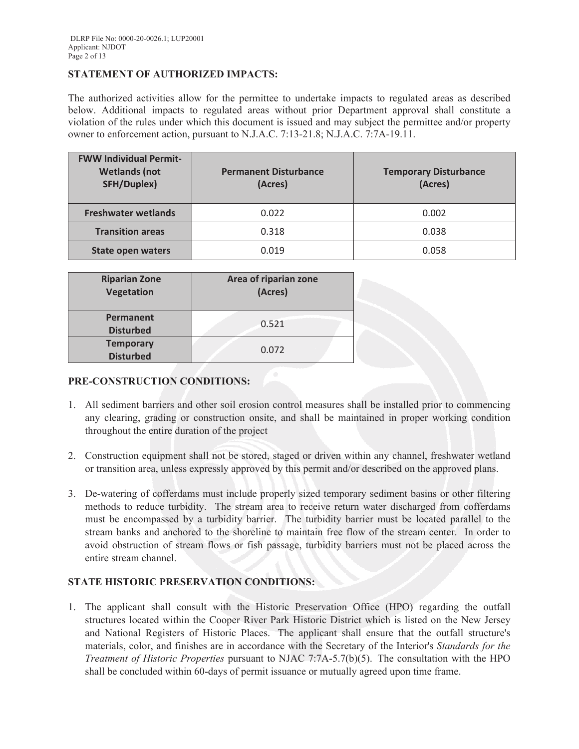### **STATEMENT OF AUTHORIZED IMPACTS:**

The authorized activities allow for the permittee to undertake impacts to regulated areas as described below. Additional impacts to regulated areas without prior Department approval shall constitute a violation of the rules under which this document is issued and may subject the permittee and/or property owner to enforcement action, pursuant to N.J.A.C. 7:13-21.8; N.J.A.C. 7:7A-19.11.

| <b>FWW Individual Permit-</b><br><b>Wetlands (not</b><br><b>SFH/Duplex)</b> | <b>Permanent Disturbance</b><br>(Acres) | <b>Temporary Disturbance</b><br>(Acres) |
|-----------------------------------------------------------------------------|-----------------------------------------|-----------------------------------------|
| <b>Freshwater wetlands</b>                                                  | 0.022                                   | 0.002                                   |
| <b>Transition areas</b>                                                     | 0.318                                   | 0.038                                   |
| <b>State open waters</b>                                                    | 0.019                                   | 0.058                                   |

| <b>Riparian Zone</b><br><b>Vegetation</b> | Area of riparian zone<br>(Acres) |
|-------------------------------------------|----------------------------------|
| Permanent<br><b>Disturbed</b>             | 0.521                            |
| <b>Temporary</b><br><b>Disturbed</b>      | 0.072                            |

### **PRE-CONSTRUCTION CONDITIONS:**

- 1. All sediment barriers and other soil erosion control measures shall be installed prior to commencing any clearing, grading or construction onsite, and shall be maintained in proper working condition throughout the entire duration of the project
- 2. Construction equipment shall not be stored, staged or driven within any channel, freshwater wetland or transition area, unless expressly approved by this permit and/or described on the approved plans.
- 3. De-watering of cofferdams must include properly sized temporary sediment basins or other filtering methods to reduce turbidity. The stream area to receive return water discharged from cofferdams must be encompassed by a turbidity barrier. The turbidity barrier must be located parallel to the stream banks and anchored to the shoreline to maintain free flow of the stream center. In order to avoid obstruction of stream flows or fish passage, turbidity barriers must not be placed across the entire stream channel.

# **STATE HISTORIC PRESERVATION CONDITIONS:**

1. The applicant shall consult with the Historic Preservation Office (HPO) regarding the outfall structures located within the Cooper River Park Historic District which is listed on the New Jersey and National Registers of Historic Places. The applicant shall ensure that the outfall structure's materials, color, and finishes are in accordance with the Secretary of the Interior's *Standards for the Treatment of Historic Properties* pursuant to NJAC 7:7A-5.7(b)(5). The consultation with the HPO shall be concluded within 60-days of permit issuance or mutually agreed upon time frame.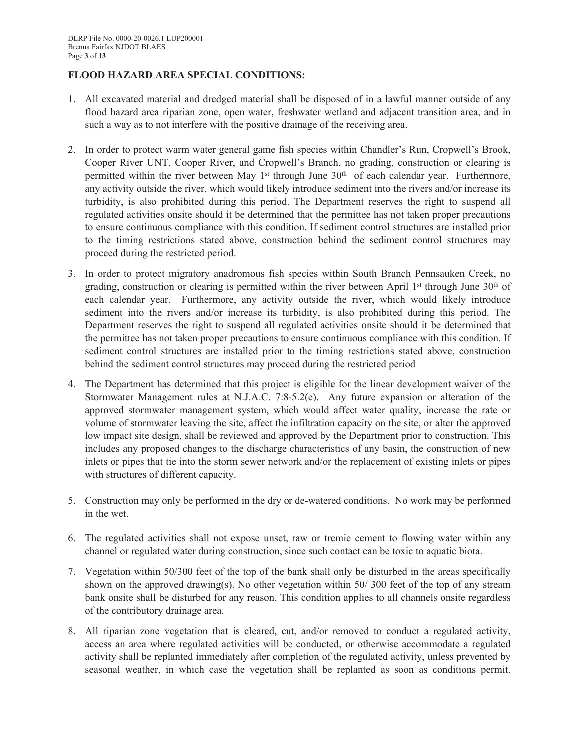# **FLOOD HAZARD AREA SPECIAL CONDITIONS:**

- 1. All excavated material and dredged material shall be disposed of in a lawful manner outside of any flood hazard area riparian zone, open water, freshwater wetland and adjacent transition area, and in such a way as to not interfere with the positive drainage of the receiving area.
- 2. In order to protect warm water general game fish species within Chandler's Run, Cropwell's Brook, Cooper River UNT, Cooper River, and Cropwell's Branch, no grading, construction or clearing is permitted within the river between May 1<sup>st</sup> through June 30<sup>th</sup> of each calendar year. Furthermore, any activity outside the river, which would likely introduce sediment into the rivers and/or increase its turbidity, is also prohibited during this period. The Department reserves the right to suspend all regulated activities onsite should it be determined that the permittee has not taken proper precautions to ensure continuous compliance with this condition. If sediment control structures are installed prior to the timing restrictions stated above, construction behind the sediment control structures may proceed during the restricted period.
- 3. In order to protect migratory anadromous fish species within South Branch Pennsauken Creek, no grading, construction or clearing is permitted within the river between April 1<sup>st</sup> through June 30<sup>th</sup> of each calendar year. Furthermore, any activity outside the river, which would likely introduce sediment into the rivers and/or increase its turbidity, is also prohibited during this period. The Department reserves the right to suspend all regulated activities onsite should it be determined that the permittee has not taken proper precautions to ensure continuous compliance with this condition. If sediment control structures are installed prior to the timing restrictions stated above, construction behind the sediment control structures may proceed during the restricted period
- 4. The Department has determined that this project is eligible for the linear development waiver of the Stormwater Management rules at N.J.A.C. 7:8-5.2(e). Any future expansion or alteration of the approved stormwater management system, which would affect water quality, increase the rate or volume of stormwater leaving the site, affect the infiltration capacity on the site, or alter the approved low impact site design, shall be reviewed and approved by the Department prior to construction. This includes any proposed changes to the discharge characteristics of any basin, the construction of new inlets or pipes that tie into the storm sewer network and/or the replacement of existing inlets or pipes with structures of different capacity.
- 5. Construction may only be performed in the dry or de-watered conditions. No work may be performed in the wet.
- 6. The regulated activities shall not expose unset, raw or tremie cement to flowing water within any channel or regulated water during construction, since such contact can be toxic to aquatic biota.
- 7. Vegetation within 50/300 feet of the top of the bank shall only be disturbed in the areas specifically shown on the approved drawing(s). No other vegetation within  $50/300$  feet of the top of any stream bank onsite shall be disturbed for any reason. This condition applies to all channels onsite regardless of the contributory drainage area.
- 8. All riparian zone vegetation that is cleared, cut, and/or removed to conduct a regulated activity, access an area where regulated activities will be conducted, or otherwise accommodate a regulated activity shall be replanted immediately after completion of the regulated activity, unless prevented by seasonal weather, in which case the vegetation shall be replanted as soon as conditions permit.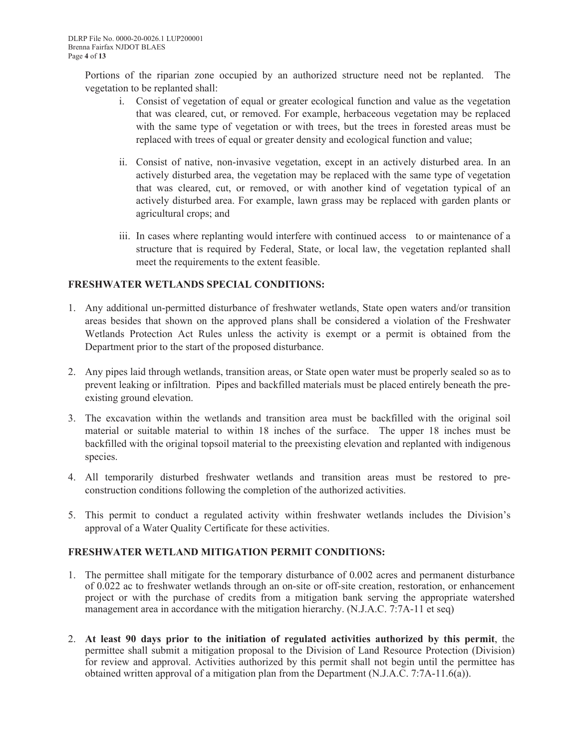Portions of the riparian zone occupied by an authorized structure need not be replanted. The vegetation to be replanted shall:

- i. Consist of vegetation of equal or greater ecological function and value as the vegetation that was cleared, cut, or removed. For example, herbaceous vegetation may be replaced with the same type of vegetation or with trees, but the trees in forested areas must be replaced with trees of equal or greater density and ecological function and value;
- ii. Consist of native, non-invasive vegetation, except in an actively disturbed area. In an actively disturbed area, the vegetation may be replaced with the same type of vegetation that was cleared, cut, or removed, or with another kind of vegetation typical of an actively disturbed area. For example, lawn grass may be replaced with garden plants or agricultural crops; and
- iii. In cases where replanting would interfere with continued access to or maintenance of a structure that is required by Federal, State, or local law, the vegetation replanted shall meet the requirements to the extent feasible.

# **FRESHWATER WETLANDS SPECIAL CONDITIONS:**

- 1. Any additional un-permitted disturbance of freshwater wetlands, State open waters and/or transition areas besides that shown on the approved plans shall be considered a violation of the Freshwater Wetlands Protection Act Rules unless the activity is exempt or a permit is obtained from the Department prior to the start of the proposed disturbance.
- 2. Any pipes laid through wetlands, transition areas, or State open water must be properly sealed so as to prevent leaking or infiltration. Pipes and backfilled materials must be placed entirely beneath the preexisting ground elevation.
- 3. The excavation within the wetlands and transition area must be backfilled with the original soil material or suitable material to within 18 inches of the surface. The upper 18 inches must be backfilled with the original topsoil material to the preexisting elevation and replanted with indigenous species.
- 4. All temporarily disturbed freshwater wetlands and transition areas must be restored to preconstruction conditions following the completion of the authorized activities.
- 5. This permit to conduct a regulated activity within freshwater wetlands includes the Division's approval of a Water Quality Certificate for these activities.

#### **FRESHWATER WETLAND MITIGATION PERMIT CONDITIONS:**

- 1. The permittee shall mitigate for the temporary disturbance of 0.002 acres and permanent disturbance of 0.022 ac to freshwater wetlands through an on-site or off-site creation, restoration, or enhancement project or with the purchase of credits from a mitigation bank serving the appropriate watershed management area in accordance with the mitigation hierarchy. (N.J.A.C. 7:7A-11 et seq)
- 2. **At least 90 days prior to the initiation of regulated activities authorized by this permit**, the permittee shall submit a mitigation proposal to the Division of Land Resource Protection (Division) for review and approval. Activities authorized by this permit shall not begin until the permittee has obtained written approval of a mitigation plan from the Department (N.J.A.C. 7:7A-11.6(a)).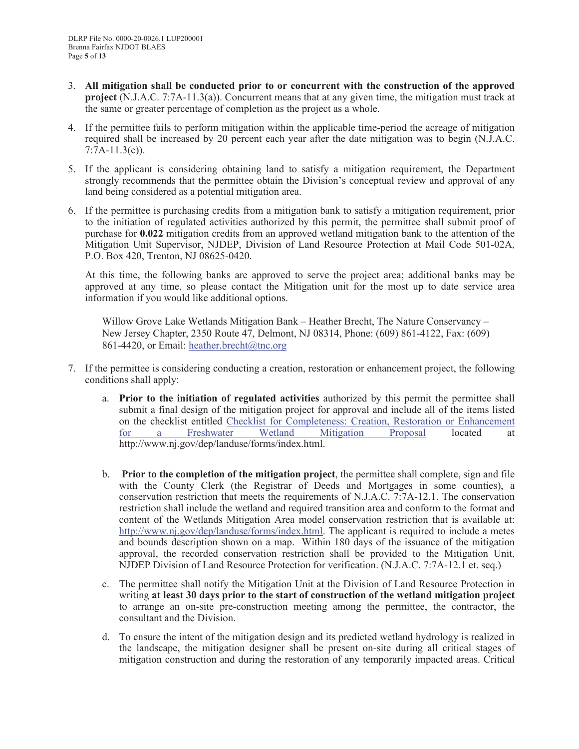- 3. **All mitigation shall be conducted prior to or concurrent with the construction of the approved project** (N.J.A.C. 7:7A-11.3(a)). Concurrent means that at any given time, the mitigation must track at the same or greater percentage of completion as the project as a whole.
- 4. If the permittee fails to perform mitigation within the applicable time-period the acreage of mitigation required shall be increased by 20 percent each year after the date mitigation was to begin (N.J.A.C.  $7:7A-11.3(c)$ ).
- 5. If the applicant is considering obtaining land to satisfy a mitigation requirement, the Department strongly recommends that the permittee obtain the Division's conceptual review and approval of any land being considered as a potential mitigation area.
- 6. If the permittee is purchasing credits from a mitigation bank to satisfy a mitigation requirement, prior to the initiation of regulated activities authorized by this permit, the permittee shall submit proof of purchase for **0.022** mitigation credits from an approved wetland mitigation bank to the attention of the Mitigation Unit Supervisor, NJDEP, Division of Land Resource Protection at Mail Code 501-02A, P.O. Box 420, Trenton, NJ 08625-0420.

At this time, the following banks are approved to serve the project area; additional banks may be approved at any time, so please contact the Mitigation unit for the most up to date service area information if you would like additional options.

Willow Grove Lake Wetlands Mitigation Bank – Heather Brecht, The Nature Conservancy – New Jersey Chapter, 2350 Route 47, Delmont, NJ 08314, Phone: (609) 861-4122, Fax: (609) 861-4420, or Email: heather.brecht@tnc.org

- 7. If the permittee is considering conducting a creation, restoration or enhancement project, the following conditions shall apply:
	- a. **Prior to the initiation of regulated activities** authorized by this permit the permittee shall submit a final design of the mitigation project for approval and include all of the items listed on the checklist entitled Checklist for Completeness: Creation, Restoration or Enhancement for a Freshwater Wetland Mitigation Proposal located at http://www.nj.gov/dep/landuse/forms/index.html.
	- b. **Prior to the completion of the mitigation project**, the permittee shall complete, sign and file with the County Clerk (the Registrar of Deeds and Mortgages in some counties), a conservation restriction that meets the requirements of N.J.A.C. 7:7A-12.1. The conservation restriction shall include the wetland and required transition area and conform to the format and content of the Wetlands Mitigation Area model conservation restriction that is available at: http://www.nj.gov/dep/landuse/forms/index.html. The applicant is required to include a metes and bounds description shown on a map. Within 180 days of the issuance of the mitigation approval, the recorded conservation restriction shall be provided to the Mitigation Unit, NJDEP Division of Land Resource Protection for verification. (N.J.A.C. 7:7A-12.1 et. seq.)
	- c. The permittee shall notify the Mitigation Unit at the Division of Land Resource Protection in writing **at least 30 days prior to the start of construction of the wetland mitigation project** to arrange an on-site pre-construction meeting among the permittee, the contractor, the consultant and the Division.
	- d. To ensure the intent of the mitigation design and its predicted wetland hydrology is realized in the landscape, the mitigation designer shall be present on-site during all critical stages of mitigation construction and during the restoration of any temporarily impacted areas. Critical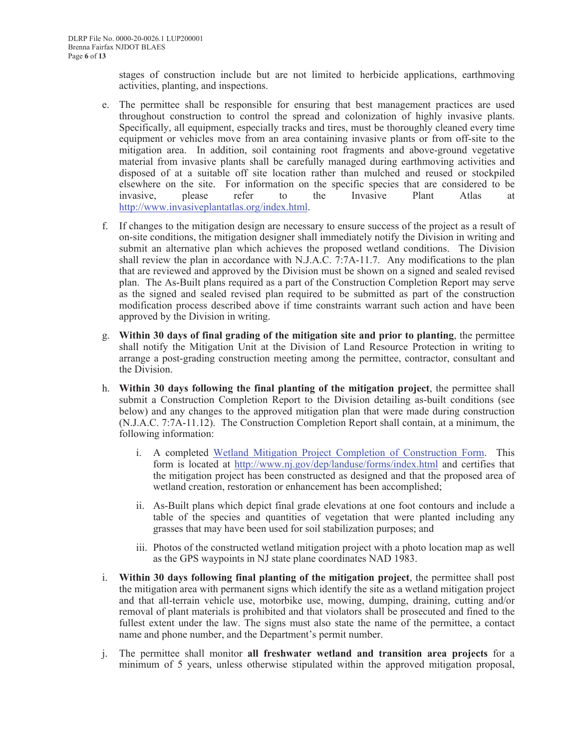stages of construction include but are not limited to herbicide applications, earthmoving activities, planting, and inspections.

- e. The permittee shall be responsible for ensuring that best management practices are used throughout construction to control the spread and colonization of highly invasive plants. Specifically, all equipment, especially tracks and tires, must be thoroughly cleaned every time equipment or vehicles move from an area containing invasive plants or from off-site to the mitigation area. In addition, soil containing root fragments and above-ground vegetative material from invasive plants shall be carefully managed during earthmoving activities and disposed of at a suitable off site location rather than mulched and reused or stockpiled elsewhere on the site. For information on the specific species that are considered to be invasive, please refer to the Invasive Plant Atlas at http://www.invasiveplantatlas.org/index.html.
- f. If changes to the mitigation design are necessary to ensure success of the project as a result of on-site conditions, the mitigation designer shall immediately notify the Division in writing and submit an alternative plan which achieves the proposed wetland conditions. The Division shall review the plan in accordance with N.J.A.C. 7:7A-11.7. Any modifications to the plan that are reviewed and approved by the Division must be shown on a signed and sealed revised plan. The As-Built plans required as a part of the Construction Completion Report may serve as the signed and sealed revised plan required to be submitted as part of the construction modification process described above if time constraints warrant such action and have been approved by the Division in writing.
- g. **Within 30 days of final grading of the mitigation site and prior to planting**, the permittee shall notify the Mitigation Unit at the Division of Land Resource Protection in writing to arrange a post-grading construction meeting among the permittee, contractor, consultant and the Division.
- h. **Within 30 days following the final planting of the mitigation project**, the permittee shall submit a Construction Completion Report to the Division detailing as-built conditions (see below) and any changes to the approved mitigation plan that were made during construction (N.J.A.C. 7:7A-11.12). The Construction Completion Report shall contain, at a minimum, the following information:
	- i. A completed Wetland Mitigation Project Completion of Construction Form. This form is located at http://www.nj.gov/dep/landuse/forms/index.html and certifies that the mitigation project has been constructed as designed and that the proposed area of wetland creation, restoration or enhancement has been accomplished;
	- ii. As-Built plans which depict final grade elevations at one foot contours and include a table of the species and quantities of vegetation that were planted including any grasses that may have been used for soil stabilization purposes; and
	- iii. Photos of the constructed wetland mitigation project with a photo location map as well as the GPS waypoints in NJ state plane coordinates NAD 1983.
- i. **Within 30 days following final planting of the mitigation project**, the permittee shall post the mitigation area with permanent signs which identify the site as a wetland mitigation project and that all-terrain vehicle use, motorbike use, mowing, dumping, draining, cutting and/or removal of plant materials is prohibited and that violators shall be prosecuted and fined to the fullest extent under the law. The signs must also state the name of the permittee, a contact name and phone number, and the Department's permit number.
- j. The permittee shall monitor **all freshwater wetland and transition area projects** for a minimum of 5 years, unless otherwise stipulated within the approved mitigation proposal,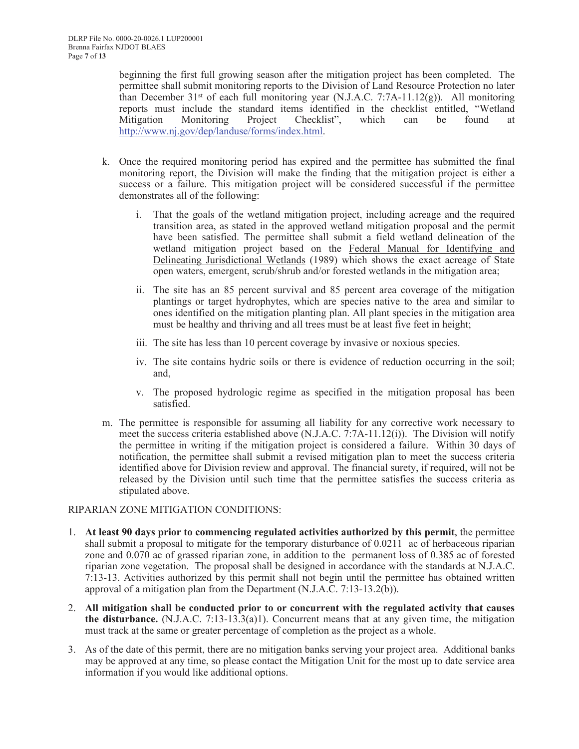beginning the first full growing season after the mitigation project has been completed. The permittee shall submit monitoring reports to the Division of Land Resource Protection no later than December 31<sup>st</sup> of each full monitoring year (N.J.A.C. 7:7A-11.12(g)). All monitoring reports must include the standard items identified in the checklist entitled, "Wetland Mitigation Monitoring Project Checklist", which can be found at http://www.nj.gov/dep/landuse/forms/index.html.

- k. Once the required monitoring period has expired and the permittee has submitted the final monitoring report, the Division will make the finding that the mitigation project is either a success or a failure. This mitigation project will be considered successful if the permittee demonstrates all of the following:
	- i. That the goals of the wetland mitigation project, including acreage and the required transition area, as stated in the approved wetland mitigation proposal and the permit have been satisfied. The permittee shall submit a field wetland delineation of the wetland mitigation project based on the Federal Manual for Identifying and Delineating Jurisdictional Wetlands (1989) which shows the exact acreage of State open waters, emergent, scrub/shrub and/or forested wetlands in the mitigation area;
	- ii. The site has an 85 percent survival and 85 percent area coverage of the mitigation plantings or target hydrophytes, which are species native to the area and similar to ones identified on the mitigation planting plan. All plant species in the mitigation area must be healthy and thriving and all trees must be at least five feet in height;
	- iii. The site has less than 10 percent coverage by invasive or noxious species.
	- iv. The site contains hydric soils or there is evidence of reduction occurring in the soil; and,
	- v. The proposed hydrologic regime as specified in the mitigation proposal has been satisfied.
- m. The permittee is responsible for assuming all liability for any corrective work necessary to meet the success criteria established above (N.J.A.C. 7:7A-11.12(i)). The Division will notify the permittee in writing if the mitigation project is considered a failure. Within 30 days of notification, the permittee shall submit a revised mitigation plan to meet the success criteria identified above for Division review and approval. The financial surety, if required, will not be released by the Division until such time that the permittee satisfies the success criteria as stipulated above.

#### RIPARIAN ZONE MITIGATION CONDITIONS:

- 1. **At least 90 days prior to commencing regulated activities authorized by this permit**, the permittee shall submit a proposal to mitigate for the temporary disturbance of 0.0211 ac of herbaceous riparian zone and 0.070 ac of grassed riparian zone, in addition to the permanent loss of 0.385 ac of forested riparian zone vegetation. The proposal shall be designed in accordance with the standards at N.J.A.C. 7:13-13. Activities authorized by this permit shall not begin until the permittee has obtained written approval of a mitigation plan from the Department  $(N.J.A.C. 7:13-13.2(b))$ .
- 2. **All mitigation shall be conducted prior to or concurrent with the regulated activity that causes the disturbance.** (N.J.A.C. 7:13-13.3(a)1). Concurrent means that at any given time, the mitigation must track at the same or greater percentage of completion as the project as a whole.
- 3. As of the date of this permit, there are no mitigation banks serving your project area. Additional banks may be approved at any time, so please contact the Mitigation Unit for the most up to date service area information if you would like additional options.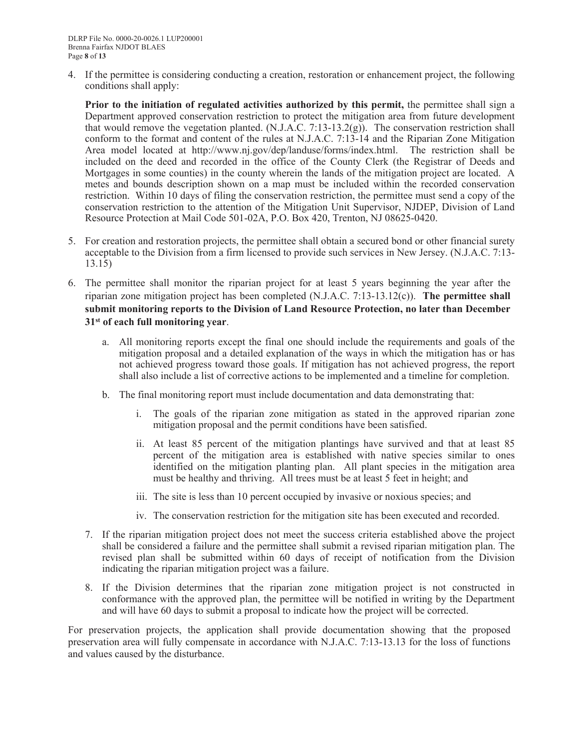4. If the permittee is considering conducting a creation, restoration or enhancement project, the following conditions shall apply:

**Prior to the initiation of regulated activities authorized by this permit,** the permittee shall sign a Department approved conservation restriction to protect the mitigation area from future development that would remove the vegetation planted. (N.J.A.C. 7:13-13.2(g)). The conservation restriction shall conform to the format and content of the rules at N.J.A.C. 7:13-14 and the Riparian Zone Mitigation Area model located at http://www.nj.gov/dep/landuse/forms/index.html. The restriction shall be included on the deed and recorded in the office of the County Clerk (the Registrar of Deeds and Mortgages in some counties) in the county wherein the lands of the mitigation project are located. A metes and bounds description shown on a map must be included within the recorded conservation restriction. Within 10 days of filing the conservation restriction, the permittee must send a copy of the conservation restriction to the attention of the Mitigation Unit Supervisor, NJDEP, Division of Land Resource Protection at Mail Code 501-02A, P.O. Box 420, Trenton, NJ 08625-0420.

- 5. For creation and restoration projects, the permittee shall obtain a secured bond or other financial surety acceptable to the Division from a firm licensed to provide such services in New Jersey. (N.J.A.C. 7:13- 13.15)
- 6. The permittee shall monitor the riparian project for at least 5 years beginning the year after the riparian zone mitigation project has been completed (N.J.A.C. 7:13-13.12(c)). **The permittee shall submit monitoring reports to the Division of Land Resource Protection, no later than December 31st of each full monitoring year**.
	- a. All monitoring reports except the final one should include the requirements and goals of the mitigation proposal and a detailed explanation of the ways in which the mitigation has or has not achieved progress toward those goals. If mitigation has not achieved progress, the report shall also include a list of corrective actions to be implemented and a timeline for completion.
	- b. The final monitoring report must include documentation and data demonstrating that:
		- i. The goals of the riparian zone mitigation as stated in the approved riparian zone mitigation proposal and the permit conditions have been satisfied.
		- ii. At least 85 percent of the mitigation plantings have survived and that at least 85 percent of the mitigation area is established with native species similar to ones identified on the mitigation planting plan. All plant species in the mitigation area must be healthy and thriving. All trees must be at least 5 feet in height; and
		- iii. The site is less than 10 percent occupied by invasive or noxious species; and
		- iv. The conservation restriction for the mitigation site has been executed and recorded.
	- 7. If the riparian mitigation project does not meet the success criteria established above the project shall be considered a failure and the permittee shall submit a revised riparian mitigation plan. The revised plan shall be submitted within 60 days of receipt of notification from the Division indicating the riparian mitigation project was a failure.
	- 8. If the Division determines that the riparian zone mitigation project is not constructed in conformance with the approved plan, the permittee will be notified in writing by the Department and will have 60 days to submit a proposal to indicate how the project will be corrected.

For preservation projects, the application shall provide documentation showing that the proposed preservation area will fully compensate in accordance with N.J.A.C. 7:13-13.13 for the loss of functions and values caused by the disturbance.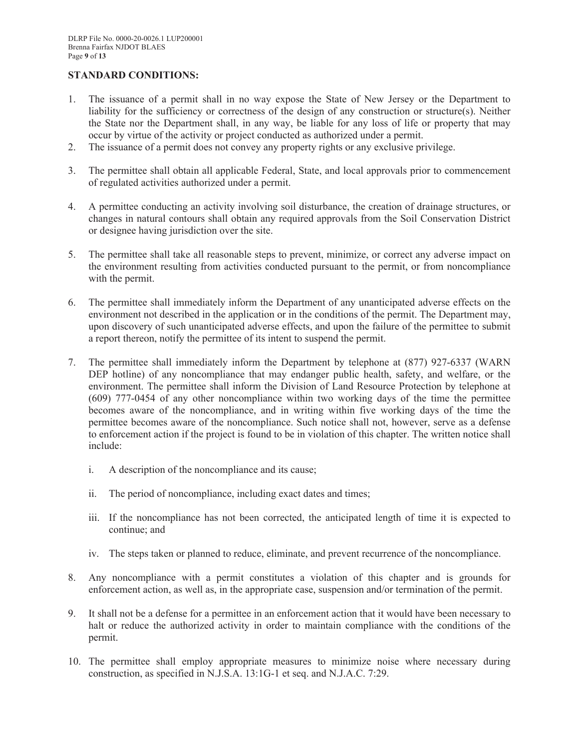# **STANDARD CONDITIONS:**

- 1. The issuance of a permit shall in no way expose the State of New Jersey or the Department to liability for the sufficiency or correctness of the design of any construction or structure(s). Neither the State nor the Department shall, in any way, be liable for any loss of life or property that may occur by virtue of the activity or project conducted as authorized under a permit.
- 2. The issuance of a permit does not convey any property rights or any exclusive privilege.
- 3. The permittee shall obtain all applicable Federal, State, and local approvals prior to commencement of regulated activities authorized under a permit.
- 4. A permittee conducting an activity involving soil disturbance, the creation of drainage structures, or changes in natural contours shall obtain any required approvals from the Soil Conservation District or designee having jurisdiction over the site.
- 5. The permittee shall take all reasonable steps to prevent, minimize, or correct any adverse impact on the environment resulting from activities conducted pursuant to the permit, or from noncompliance with the permit.
- 6. The permittee shall immediately inform the Department of any unanticipated adverse effects on the environment not described in the application or in the conditions of the permit. The Department may, upon discovery of such unanticipated adverse effects, and upon the failure of the permittee to submit a report thereon, notify the permittee of its intent to suspend the permit.
- 7. The permittee shall immediately inform the Department by telephone at (877) 927-6337 (WARN DEP hotline) of any noncompliance that may endanger public health, safety, and welfare, or the environment. The permittee shall inform the Division of Land Resource Protection by telephone at (609) 777-0454 of any other noncompliance within two working days of the time the permittee becomes aware of the noncompliance, and in writing within five working days of the time the permittee becomes aware of the noncompliance. Such notice shall not, however, serve as a defense to enforcement action if the project is found to be in violation of this chapter. The written notice shall include:
	- i. A description of the noncompliance and its cause;
	- ii. The period of noncompliance, including exact dates and times;
	- iii. If the noncompliance has not been corrected, the anticipated length of time it is expected to continue; and
	- iv. The steps taken or planned to reduce, eliminate, and prevent recurrence of the noncompliance.
- 8. Any noncompliance with a permit constitutes a violation of this chapter and is grounds for enforcement action, as well as, in the appropriate case, suspension and/or termination of the permit.
- 9. It shall not be a defense for a permittee in an enforcement action that it would have been necessary to halt or reduce the authorized activity in order to maintain compliance with the conditions of the permit.
- 10. The permittee shall employ appropriate measures to minimize noise where necessary during construction, as specified in N.J.S.A. 13:1G-1 et seq. and N.J.A.C. 7:29.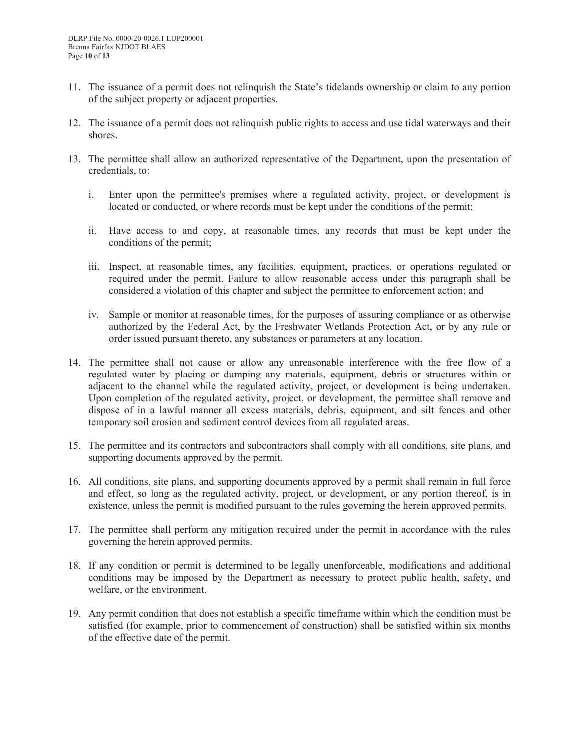- 11. The issuance of a permit does not relinquish the State's tidelands ownership or claim to any portion of the subject property or adjacent properties.
- 12. The issuance of a permit does not relinquish public rights to access and use tidal waterways and their shores.
- 13. The permittee shall allow an authorized representative of the Department, upon the presentation of credentials, to:
	- i. Enter upon the permittee's premises where a regulated activity, project, or development is located or conducted, or where records must be kept under the conditions of the permit;
	- ii. Have access to and copy, at reasonable times, any records that must be kept under the conditions of the permit;
	- iii. Inspect, at reasonable times, any facilities, equipment, practices, or operations regulated or required under the permit. Failure to allow reasonable access under this paragraph shall be considered a violation of this chapter and subject the permittee to enforcement action; and
	- iv. Sample or monitor at reasonable times, for the purposes of assuring compliance or as otherwise authorized by the Federal Act, by the Freshwater Wetlands Protection Act, or by any rule or order issued pursuant thereto, any substances or parameters at any location.
- 14. The permittee shall not cause or allow any unreasonable interference with the free flow of a regulated water by placing or dumping any materials, equipment, debris or structures within or adjacent to the channel while the regulated activity, project, or development is being undertaken. Upon completion of the regulated activity, project, or development, the permittee shall remove and dispose of in a lawful manner all excess materials, debris, equipment, and silt fences and other temporary soil erosion and sediment control devices from all regulated areas.
- 15. The permittee and its contractors and subcontractors shall comply with all conditions, site plans, and supporting documents approved by the permit.
- 16. All conditions, site plans, and supporting documents approved by a permit shall remain in full force and effect, so long as the regulated activity, project, or development, or any portion thereof, is in existence, unless the permit is modified pursuant to the rules governing the herein approved permits.
- 17. The permittee shall perform any mitigation required under the permit in accordance with the rules governing the herein approved permits.
- 18. If any condition or permit is determined to be legally unenforceable, modifications and additional conditions may be imposed by the Department as necessary to protect public health, safety, and welfare, or the environment.
- 19. Any permit condition that does not establish a specific timeframe within which the condition must be satisfied (for example, prior to commencement of construction) shall be satisfied within six months of the effective date of the permit.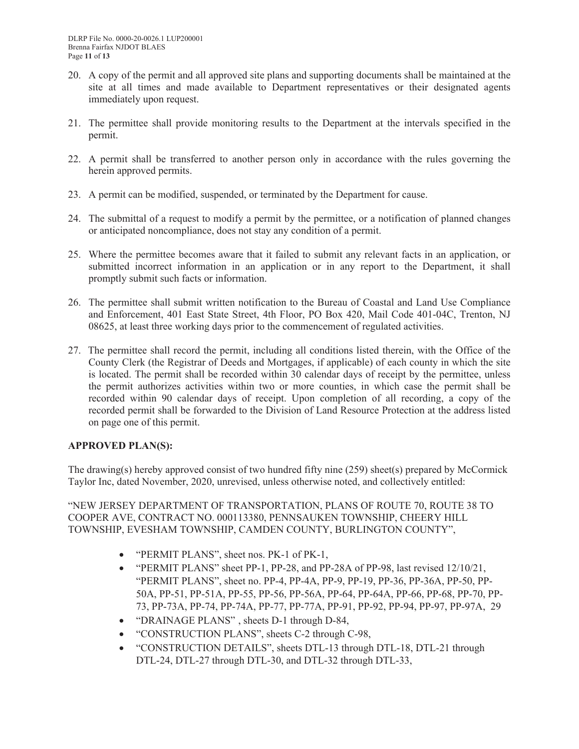- 20. A copy of the permit and all approved site plans and supporting documents shall be maintained at the site at all times and made available to Department representatives or their designated agents immediately upon request.
- 21. The permittee shall provide monitoring results to the Department at the intervals specified in the permit.
- 22. A permit shall be transferred to another person only in accordance with the rules governing the herein approved permits.
- 23. A permit can be modified, suspended, or terminated by the Department for cause.
- 24. The submittal of a request to modify a permit by the permittee, or a notification of planned changes or anticipated noncompliance, does not stay any condition of a permit.
- 25. Where the permittee becomes aware that it failed to submit any relevant facts in an application, or submitted incorrect information in an application or in any report to the Department, it shall promptly submit such facts or information.
- 26. The permittee shall submit written notification to the Bureau of Coastal and Land Use Compliance and Enforcement, 401 East State Street, 4th Floor, PO Box 420, Mail Code 401-04C, Trenton, NJ 08625, at least three working days prior to the commencement of regulated activities.
- 27. The permittee shall record the permit, including all conditions listed therein, with the Office of the County Clerk (the Registrar of Deeds and Mortgages, if applicable) of each county in which the site is located. The permit shall be recorded within 30 calendar days of receipt by the permittee, unless the permit authorizes activities within two or more counties, in which case the permit shall be recorded within 90 calendar days of receipt. Upon completion of all recording, a copy of the recorded permit shall be forwarded to the Division of Land Resource Protection at the address listed on page one of this permit.

# **APPROVED PLAN(S):**

The drawing(s) hereby approved consist of two hundred fifty nine (259) sheet(s) prepared by McCormick Taylor Inc, dated November, 2020, unrevised, unless otherwise noted, and collectively entitled:

"NEW JERSEY DEPARTMENT OF TRANSPORTATION, PLANS OF ROUTE 70, ROUTE 38 TO COOPER AVE, CONTRACT NO. 000113380, PENNSAUKEN TOWNSHIP, CHEERY HILL TOWNSHIP, EVESHAM TOWNSHIP, CAMDEN COUNTY, BURLINGTON COUNTY",

- "PERMIT PLANS", sheet nos. PK-1 of PK-1,
- "PERMIT PLANS" sheet PP-1, PP-28, and PP-28A of PP-98, last revised 12/10/21, "PERMIT PLANS", sheet no. PP-4, PP-4A, PP-9, PP-19, PP-36, PP-36A, PP-50, PP-50A, PP-51, PP-51A, PP-55, PP-56, PP-56A, PP-64, PP-64A, PP-66, PP-68, PP-70, PP-73, PP-73A, PP-74, PP-74A, PP-77, PP-77A, PP-91, PP-92, PP-94, PP-97, PP-97A, 29
- "DRAINAGE PLANS", sheets D-1 through D-84,
- "CONSTRUCTION PLANS", sheets C-2 through C-98,
- "CONSTRUCTION DETAILS", sheets DTL-13 through DTL-18, DTL-21 through DTL-24, DTL-27 through DTL-30, and DTL-32 through DTL-33,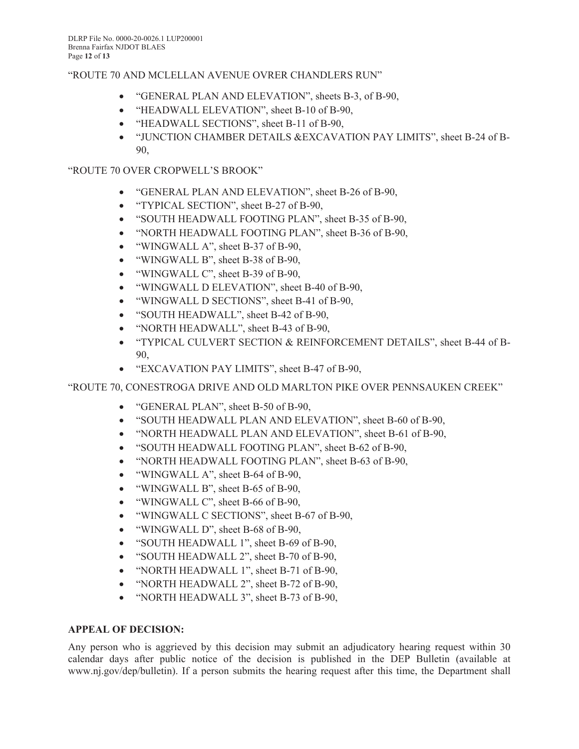# "ROUTE 70 AND MCLELLAN AVENUE OVRER CHANDLERS RUN"

- "GENERAL PLAN AND ELEVATION", sheets B-3, of B-90,
- "HEADWALL ELEVATION", sheet B-10 of B-90,
- "HEADWALL SECTIONS", sheet B-11 of B-90,
- "JUNCTION CHAMBER DETAILS &EXCAVATION PAY LIMITS", sheet B-24 of B-90,

# "ROUTE 70 OVER CROPWELL'S BROOK"

- "GENERAL PLAN AND ELEVATION", sheet B-26 of B-90,
- "TYPICAL SECTION", sheet B-27 of B-90,
- "SOUTH HEADWALL FOOTING PLAN", sheet B-35 of B-90,
- "NORTH HEADWALL FOOTING PLAN", sheet B-36 of B-90,
- "WINGWALL A", sheet B-37 of B-90,
- "WINGWALL B", sheet B-38 of B-90,
- "WINGWALL C", sheet B-39 of B-90,
- "WINGWALL D ELEVATION", sheet B-40 of B-90,
- "WINGWALL D SECTIONS", sheet B-41 of B-90,
- "SOUTH HEADWALL", sheet B-42 of B-90,
- "NORTH HEADWALL", sheet B-43 of B-90,
- "TYPICAL CULVERT SECTION & REINFORCEMENT DETAILS", sheet B-44 of B-90,
- "EXCAVATION PAY LIMITS", sheet B-47 of B-90,

# "ROUTE 70, CONESTROGA DRIVE AND OLD MARLTON PIKE OVER PENNSAUKEN CREEK"

- "GENERAL PLAN", sheet B-50 of B-90,
- "SOUTH HEADWALL PLAN AND ELEVATION", sheet B-60 of B-90,
- "NORTH HEADWALL PLAN AND ELEVATION", sheet B-61 of B-90,
- "SOUTH HEADWALL FOOTING PLAN", sheet B-62 of B-90,
- "NORTH HEADWALL FOOTING PLAN", sheet B-63 of B-90,
- "WINGWALL A", sheet B-64 of B-90,
- "WINGWALL B", sheet B-65 of B-90,
- "WINGWALL C", sheet B-66 of B-90,
- "WINGWALL C SECTIONS", sheet B-67 of B-90,
- "WINGWALL D", sheet B-68 of B-90,
- "SOUTH HEADWALL 1", sheet B-69 of B-90,
- "SOUTH HEADWALL 2", sheet B-70 of B-90,
- "NORTH HEADWALL 1", sheet B-71 of B-90,
- "NORTH HEADWALL 2", sheet B-72 of B-90,
- "NORTH HEADWALL 3", sheet B-73 of B-90,

# **APPEAL OF DECISION:**

Any person who is aggrieved by this decision may submit an adjudicatory hearing request within 30 calendar days after public notice of the decision is published in the DEP Bulletin (available at www.nj.gov/dep/bulletin). If a person submits the hearing request after this time, the Department shall